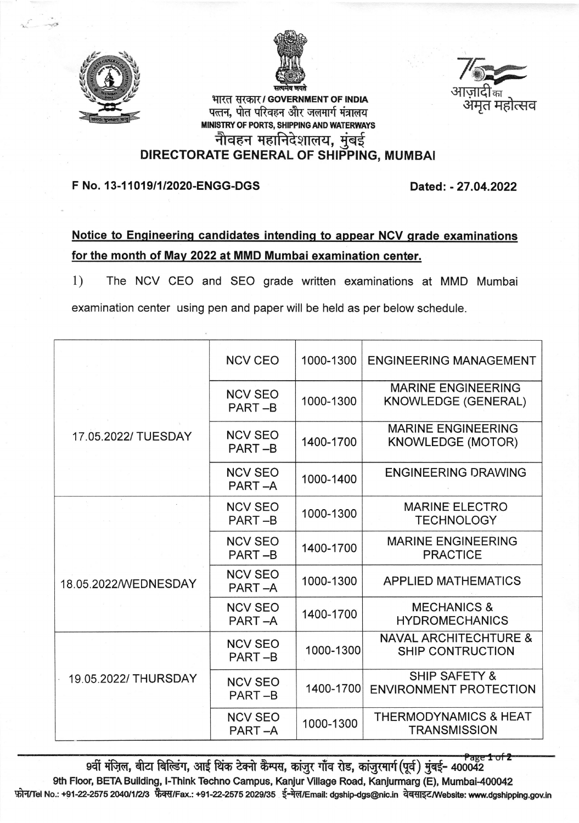



भारत सरकार / GOVERNMENT OF INDIA पत्तन, पोत परिवहन और जलमार्ग मंत्रालय MINISTRY OF PORTS, SHIPPING AND WATERWAYS sikt of fokis, shipping and r<br>नोवहन महानिदेशालय, MINISTRY OF PORTS, SHIPPING AND WATERWAYS<br>नीवहन महानिदेशालय, मुंबई<br>DIRECTORATE GENERAL OF SHIPPING, MUMBAI



F No. 13-1101911/2020-ENGG-DGS Dated: - 27.04.2022

## Notice to Engineering candidates intendinq to appear NCV qrade examinations for the month of Mav 2022 at MMD Mumbai examination center.

1) The NCV CEO and SEO grade written examinations at MMD Mumbai examination center using pen and paper will be held as per below schedule.

|                      |                      | <b>NCV CEO</b>           | 1000-1300 | <b>ENGINEERING MANAGEMENT</b>                               |
|----------------------|----------------------|--------------------------|-----------|-------------------------------------------------------------|
| 17.05.2022/ TUESDAY  |                      | <b>NCV SEO</b><br>PART-B | 1000-1300 | <b>MARINE ENGINEERING</b><br>KNOWLEDGE (GENERAL)            |
|                      |                      | <b>NCV SEO</b><br>PART-B | 1400-1700 | <b>MARINE ENGINEERING</b><br><b>KNOWLEDGE (MOTOR)</b>       |
|                      |                      | <b>NCV SEO</b><br>PART-A | 1000-1400 | <b>ENGINEERING DRAWING</b>                                  |
|                      |                      | <b>NCV SEO</b><br>PART-B | 1000-1300 | <b>MARINE ELECTRO</b><br><b>TECHNOLOGY</b>                  |
|                      |                      | <b>NCV SEO</b><br>PART-B | 1400-1700 | <b>MARINE ENGINEERING</b><br><b>PRACTICE</b>                |
|                      | 18.05.2022/WEDNESDAY |                          | 1000-1300 | <b>APPLIED MATHEMATICS</b>                                  |
|                      |                      | <b>NCV SEO</b><br>PART-A | 1400-1700 | <b>MECHANICS &amp;</b><br><b>HYDROMECHANICS</b>             |
|                      |                      | <b>NCV SEO</b><br>PART-B | 1000-1300 | <b>NAVAL ARCHITECHTURE &amp;</b><br><b>SHIP CONTRUCTION</b> |
| 19.05.2022/ THURSDAY |                      | <b>NCV SEO</b><br>PART-B | 1400-1700 | <b>SHIP SAFETY &amp;</b><br><b>ENVIRONMENT PROTECTION</b>   |
|                      |                      | <b>NCV SEO</b><br>PART-A | 1000-1300 | <b>THERMODYNAMICS &amp; HEAT</b><br><b>TRANSMISSION</b>     |

9वीं मंज़िल, बीटा बिल्डिंग, आई थिंक टेक्नो कैम्पस, कांज़ुर गाँव रोड, कांज़ुरमार्ग (पूर्व) मुंबई- 400042 9th Floor, BETA Building, I-Think Techno Campus, Kanjur Village Road, Kanjurmarg (E), Mumbai-400042 mitric No.: +91-22-2575 2040/1/2/3 फैक्स/Fax.: +91-22-2575 2029/35 ई-मेल/Email: dgship-dgs@nic.in वेबसाइट/Website: www.dgshipping.gov.in